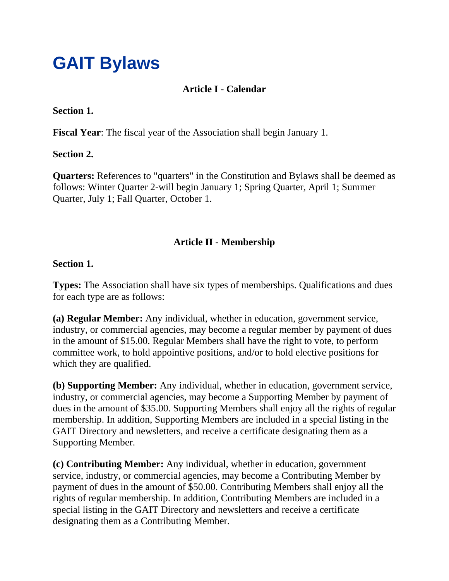# **GAIT Bylaws**

# **Article I - Calendar**

#### **Section 1.**

**Fiscal Year**: The fiscal year of the Association shall begin January 1.

### **Section 2.**

**Quarters:** References to "quarters" in the Constitution and Bylaws shall be deemed as follows: Winter Quarter 2-will begin January 1; Spring Quarter, April 1; Summer Quarter, July 1; Fall Quarter, October 1.

# **Article II - Membership**

### **Section 1.**

**Types:** The Association shall have six types of memberships. Qualifications and dues for each type are as follows:

**(a) Regular Member:** Any individual, whether in education, government service, industry, or commercial agencies, may become a regular member by payment of dues in the amount of \$15.00. Regular Members shall have the right to vote, to perform committee work, to hold appointive positions, and/or to hold elective positions for which they are qualified.

**(b) Supporting Member:** Any individual, whether in education, government service, industry, or commercial agencies, may become a Supporting Member by payment of dues in the amount of \$35.00. Supporting Members shall enjoy all the rights of regular membership. In addition, Supporting Members are included in a special listing in the GAIT Directory and newsletters, and receive a certificate designating them as a Supporting Member.

**(c) Contributing Member:** Any individual, whether in education, government service, industry, or commercial agencies, may become a Contributing Member by payment of dues in the amount of \$50.00. Contributing Members shall enjoy all the rights of regular membership. In addition, Contributing Members are included in a special listing in the GAIT Directory and newsletters and receive a certificate designating them as a Contributing Member.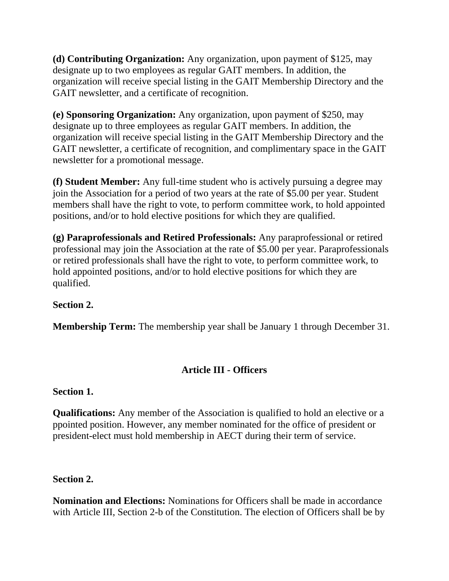**(d) Contributing Organization:** Any organization, upon payment of \$125, may designate up to two employees as regular GAIT members. In addition, the organization will receive special listing in the GAIT Membership Directory and the GAIT newsletter, and a certificate of recognition.

**(e) Sponsoring Organization:** Any organization, upon payment of \$250, may designate up to three employees as regular GAIT members. In addition, the organization will receive special listing in the GAIT Membership Directory and the GAIT newsletter, a certificate of recognition, and complimentary space in the GAIT newsletter for a promotional message.

**(f) Student Member:** Any full-time student who is actively pursuing a degree may join the Association for a period of two years at the rate of \$5.00 per year. Student members shall have the right to vote, to perform committee work, to hold appointed positions, and/or to hold elective positions for which they are qualified.

**(g) Paraprofessionals and Retired Professionals:** Any paraprofessional or retired professional may join the Association at the rate of \$5.00 per year. Paraprofessionals or retired professionals shall have the right to vote, to perform committee work, to hold appointed positions, and/or to hold elective positions for which they are qualified.

## **Section 2.**

**Membership Term:** The membership year shall be January 1 through December 31.

## **Article III - Officers**

## **Section 1.**

**Qualifications:** Any member of the Association is qualified to hold an elective or a ppointed position. However, any member nominated for the office of president or president-elect must hold membership in AECT during their term of service.

# **Section 2.**

**Nomination and Elections:** Nominations for Officers shall be made in accordance with Article III, Section 2-b of the Constitution. The election of Officers shall be by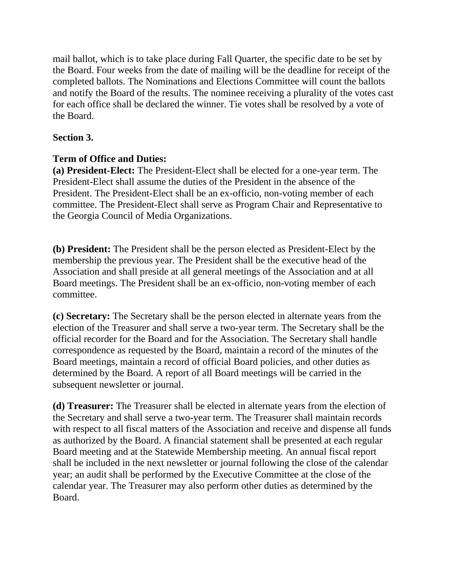mail ballot, which is to take place during Fall Quarter, the specific date to be set by the Board. Four weeks from the date of mailing will be the deadline for receipt of the completed ballots. The Nominations and Elections Committee will count the ballots and notify the Board of the results. The nominee receiving a plurality of the votes cast for each office shall be declared the winner. Tie votes shall be resolved by a vote of the Board.

# **Section 3.**

## **Term of Office and Duties:**

**(a) President-Elect:** The President-Elect shall be elected for a one-year term. The President-Elect shall assume the duties of the President in the absence of the President. The President-Elect shall be an ex-officio, non-voting member of each committee. The President-Elect shall serve as Program Chair and Representative to the Georgia Council of Media Organizations.

**(b) President:** The President shall be the person elected as President-Elect by the membership the previous year. The President shall be the executive head of the Association and shall preside at all general meetings of the Association and at all Board meetings. The President shall be an ex-officio, non-voting member of each committee.

**(c) Secretary:** The Secretary shall be the person elected in alternate years from the election of the Treasurer and shall serve a two-year term. The Secretary shall be the official recorder for the Board and for the Association. The Secretary shall handle correspondence as requested by the Board, maintain a record of the minutes of the Board meetings, maintain a record of official Board policies, and other duties as determined by the Board. A report of all Board meetings will be carried in the subsequent newsletter or journal.

**(d) Treasurer:** The Treasurer shall be elected in alternate years from the election of the Secretary and shall serve a two-year term. The Treasurer shall maintain records with respect to all fiscal matters of the Association and receive and dispense all funds as authorized by the Board. A financial statement shall be presented at each regular Board meeting and at the Statewide Membership meeting. An annual fiscal report shall be included in the next newsletter or journal following the close of the calendar year; an audit shall be performed by the Executive Committee at the close of the calendar year. The Treasurer may also perform other duties as determined by the Board.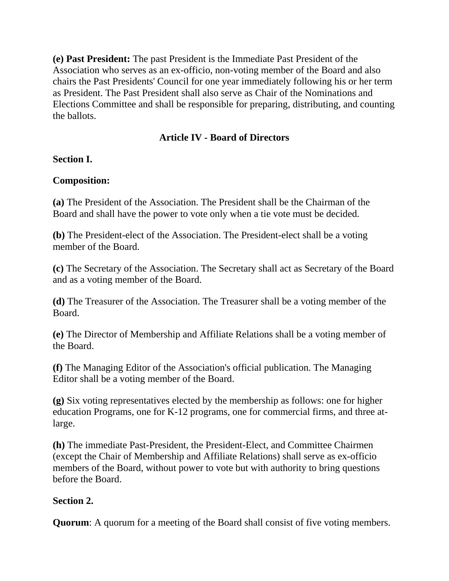**(e) Past President:** The past President is the Immediate Past President of the Association who serves as an ex-officio, non-voting member of the Board and also chairs the Past Presidents' Council for one year immediately following his or her term as President. The Past President shall also serve as Chair of the Nominations and Elections Committee and shall be responsible for preparing, distributing, and counting the ballots.

# **Article IV - Board of Directors**

## **Section I.**

# **Composition:**

**(a)** The President of the Association. The President shall be the Chairman of the Board and shall have the power to vote only when a tie vote must be decided.

**(b)** The President-elect of the Association. The President-elect shall be a voting member of the Board.

**(c)** The Secretary of the Association. The Secretary shall act as Secretary of the Board and as a voting member of the Board.

**(d)** The Treasurer of the Association. The Treasurer shall be a voting member of the Board.

**(e)** The Director of Membership and Affiliate Relations shall be a voting member of the Board.

**(f)** The Managing Editor of the Association's official publication. The Managing Editor shall be a voting member of the Board.

**(g)** Six voting representatives elected by the membership as follows: one for higher education Programs, one for K-12 programs, one for commercial firms, and three atlarge.

**(h)** The immediate Past-President, the President-Elect, and Committee Chairmen (except the Chair of Membership and Affiliate Relations) shall serve as ex-officio members of the Board, without power to vote but with authority to bring questions before the Board.

## **Section 2.**

**Quorum**: A quorum for a meeting of the Board shall consist of five voting members.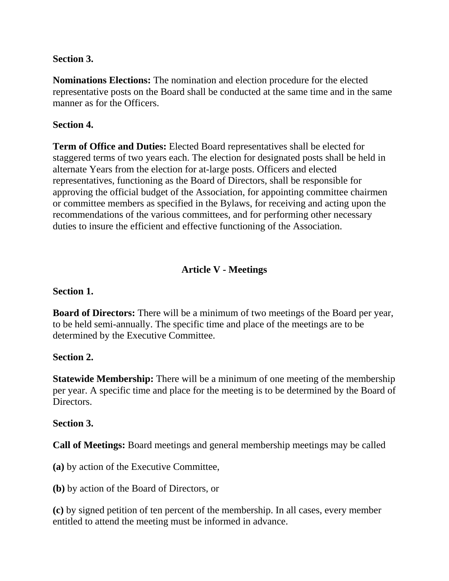### **Section 3.**

**Nominations Elections:** The nomination and election procedure for the elected representative posts on the Board shall be conducted at the same time and in the same manner as for the Officers.

## **Section 4.**

**Term of Office and Duties:** Elected Board representatives shall be elected for staggered terms of two years each. The election for designated posts shall be held in alternate Years from the election for at-large posts. Officers and elected representatives, functioning as the Board of Directors, shall be responsible for approving the official budget of the Association, for appointing committee chairmen or committee members as specified in the Bylaws, for receiving and acting upon the recommendations of the various committees, and for performing other necessary duties to insure the efficient and effective functioning of the Association.

# **Article V - Meetings**

#### **Section 1.**

**Board of Directors:** There will be a minimum of two meetings of the Board per year, to be held semi-annually. The specific time and place of the meetings are to be determined by the Executive Committee.

#### **Section 2.**

**Statewide Membership:** There will be a minimum of one meeting of the membership per year. A specific time and place for the meeting is to be determined by the Board of Directors.

#### **Section 3.**

**Call of Meetings:** Board meetings and general membership meetings may be called

**(a)** by action of the Executive Committee,

**(b)** by action of the Board of Directors, or

**(c)** by signed petition of ten percent of the membership. In all cases, every member entitled to attend the meeting must be informed in advance.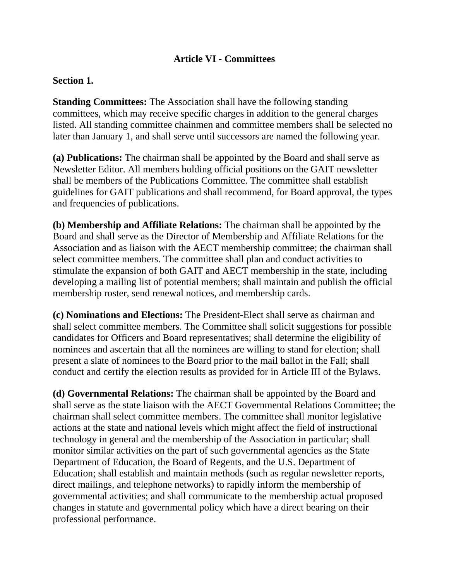## **Article VI - Committees**

#### **Section 1.**

**Standing Committees:** The Association shall have the following standing committees, which may receive specific charges in addition to the general charges listed. All standing committee chainmen and committee members shall be selected no later than January 1, and shall serve until successors are named the following year.

**(a) Publications:** The chairman shall be appointed by the Board and shall serve as Newsletter Editor. All members holding official positions on the GAIT newsletter shall be members of the Publications Committee. The committee shall establish guidelines for GAIT publications and shall recommend, for Board approval, the types and frequencies of publications.

**(b) Membership and Affiliate Relations:** The chairman shall be appointed by the Board and shall serve as the Director of Membership and Affiliate Relations for the Association and as liaison with the AECT membership committee; the chairman shall select committee members. The committee shall plan and conduct activities to stimulate the expansion of both GAIT and AECT membership in the state, including developing a mailing list of potential members; shall maintain and publish the official membership roster, send renewal notices, and membership cards.

**(c) Nominations and Elections:** The President-Elect shall serve as chairman and shall select committee members. The Committee shall solicit suggestions for possible candidates for Officers and Board representatives; shall determine the eligibility of nominees and ascertain that all the nominees are willing to stand for election; shall present a slate of nominees to the Board prior to the mail ballot in the Fall; shall conduct and certify the election results as provided for in Article III of the Bylaws.

**(d) Governmental Relations:** The chairman shall be appointed by the Board and shall serve as the state liaison with the AECT Governmental Relations Committee; the chairman shall select committee members. The committee shall monitor legislative actions at the state and national levels which might affect the field of instructional technology in general and the membership of the Association in particular; shall monitor similar activities on the part of such governmental agencies as the State Department of Education, the Board of Regents, and the U.S. Department of Education; shall establish and maintain methods (such as regular newsletter reports, direct mailings, and telephone networks) to rapidly inform the membership of governmental activities; and shall communicate to the membership actual proposed changes in statute and governmental policy which have a direct bearing on their professional performance.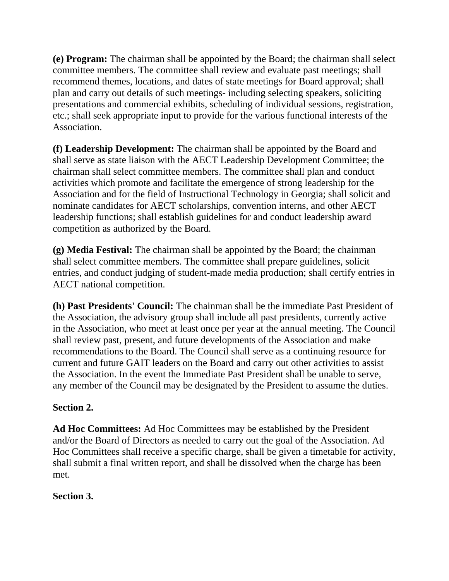**(e) Program:** The chairman shall be appointed by the Board; the chairman shall select committee members. The committee shall review and evaluate past meetings; shall recommend themes, locations, and dates of state meetings for Board approval; shall plan and carry out details of such meetings- including selecting speakers, soliciting presentations and commercial exhibits, scheduling of individual sessions, registration, etc.; shall seek appropriate input to provide for the various functional interests of the Association.

**(f) Leadership Development:** The chairman shall be appointed by the Board and shall serve as state liaison with the AECT Leadership Development Committee; the chairman shall select committee members. The committee shall plan and conduct activities which promote and facilitate the emergence of strong leadership for the Association and for the field of Instructional Technology in Georgia; shall solicit and nominate candidates for AECT scholarships, convention interns, and other AECT leadership functions; shall establish guidelines for and conduct leadership award competition as authorized by the Board.

**(g) Media Festival:** The chairman shall be appointed by the Board; the chainman shall select committee members. The committee shall prepare guidelines, solicit entries, and conduct judging of student-made media production; shall certify entries in AECT national competition.

**(h) Past Presidents' Council:** The chainman shall be the immediate Past President of the Association, the advisory group shall include all past presidents, currently active in the Association, who meet at least once per year at the annual meeting. The Council shall review past, present, and future developments of the Association and make recommendations to the Board. The Council shall serve as a continuing resource for current and future GAIT leaders on the Board and carry out other activities to assist the Association. In the event the Immediate Past President shall be unable to serve, any member of the Council may be designated by the President to assume the duties.

# **Section 2.**

**Ad Hoc Committees:** Ad Hoc Committees may be established by the President and/or the Board of Directors as needed to carry out the goal of the Association. Ad Hoc Committees shall receive a specific charge, shall be given a timetable for activity, shall submit a final written report, and shall be dissolved when the charge has been met.

# **Section 3.**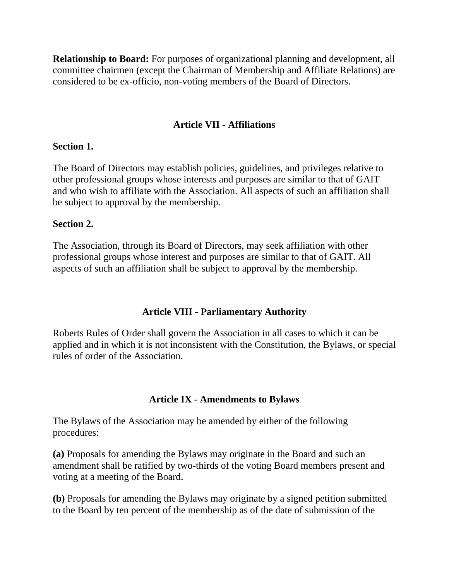**Relationship to Board:** For purposes of organizational planning and development, all committee chairmen (except the Chairman of Membership and Affiliate Relations) are considered to be ex-officio, non-voting members of the Board of Directors.

## **Article VII - Affiliations**

#### **Section 1.**

The Board of Directors may establish policies, guidelines, and privileges relative to other professional groups whose interests and purposes are similar to that of GAIT and who wish to affiliate with the Association. All aspects of such an affiliation shall be subject to approval by the membership.

#### **Section 2.**

The Association, through its Board of Directors, may seek affiliation with other professional groups whose interest and purposes are similar to that of GAIT. All aspects of such an affiliation shall be subject to approval by the membership.

#### **Article VIII - Parliamentary Authority**

Roberts Rules of Order shall govern the Association in all cases to which it can be applied and in which it is not inconsistent with the Constitution, the Bylaws, or special rules of order of the Association.

#### **Article IX - Amendments to Bylaws**

The Bylaws of the Association may be amended by either of the following procedures:

**(a)** Proposals for amending the Bylaws may originate in the Board and such an amendment shall be ratified by two-thirds of the voting Board members present and voting at a meeting of the Board.

**(b)** Proposals for amending the Bylaws may originate by a signed petition submitted to the Board by ten percent of the membership as of the date of submission of the